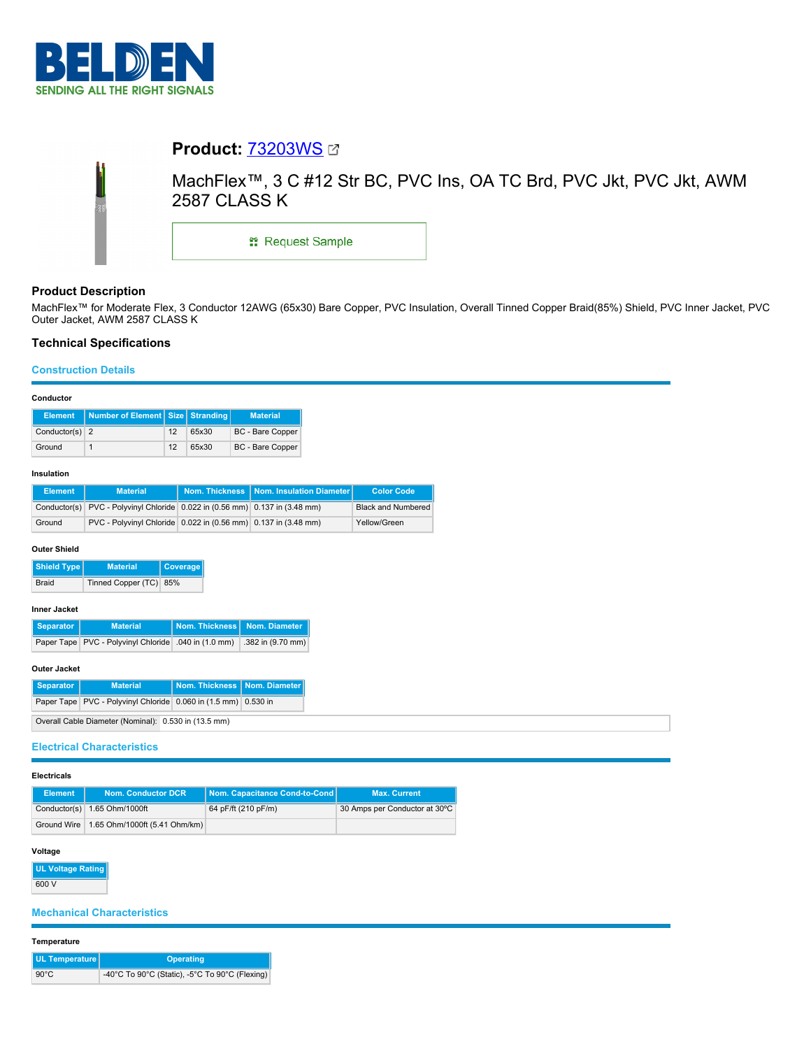

# **Product:** [73203WS](https://catalog.belden.com/index.cfm?event=pd&p=PF_73203WS&tab=downloads) MachFlex™, 3 C #12 Str BC, PVC Ins, OA TC Brd, PVC Jkt, PVC Jkt, AWM 2587 CLASS K **::** Request Sample **Product Description**

MachFlex™ for Moderate Flex, 3 Conductor 12AWG (65x30) Bare Copper, PVC Insulation, Overall Tinned Copper Braid(85%) Shield, PVC Inner Jacket, PVC Outer Jacket, AWM 2587 CLASS K

# **Technical Specifications**

# **Construction Details**

# **Conductor**

|                  | Element   Number of Element   Size   Stranding |    |       | <b>Material</b>         |
|------------------|------------------------------------------------|----|-------|-------------------------|
| Conductor(s) $2$ |                                                | 12 | 65x30 | <b>BC</b> - Bare Copper |
| Ground           |                                                | 12 | 65x30 | <b>BC</b> - Bare Copper |

#### **Insulation**

| <b>Element</b> | <b>Material</b>                                                             | Nom. Thickness   Nom. Insulation Diameter | <b>Color Code</b>         |
|----------------|-----------------------------------------------------------------------------|-------------------------------------------|---------------------------|
|                | Conductor(s) PVC - Polyvinyl Chloride 0.022 in (0.56 mm) 0.137 in (3.48 mm) |                                           | <b>Black and Numbered</b> |
| Ground         | PVC - Polyvinyl Chloride 0.022 in (0.56 mm) 0.137 in (3.48 mm)              |                                           | Yellow/Green              |

# **Outer Shield**

| Shield Type | <b>Material</b>        | Coverage |
|-------------|------------------------|----------|
| Braid       | Tinned Copper (TC) 85% |          |

# **Inner Jacket**

| Separator | <b>Material</b>                                      | Nom. Thickness   Nom. Diameter |                   |
|-----------|------------------------------------------------------|--------------------------------|-------------------|
|           | Paper Tape PVC - Polyvinyl Chloride .040 in (1.0 mm) |                                | .382 in (9.70 mm) |

# **Outer Jacket**

| Separator                                            | <b>Material</b>                                                      |  | Nom. Thickness   Nom. Diameter |  |
|------------------------------------------------------|----------------------------------------------------------------------|--|--------------------------------|--|
|                                                      | Paper Tape   PVC - Polyvinyl Chloride   0.060 in (1.5 mm)   0.530 in |  |                                |  |
| Overall Cable Diameter (Nominal): 0.530 in (13.5 mm) |                                                                      |  |                                |  |

# **Electrical Characteristics**

# **Electricals**

| <b>Element</b> | <b>Nom. Conductor DCR</b>                   | Nom. Capacitance Cond-to-Cond | <b>Max. Current</b>           |
|----------------|---------------------------------------------|-------------------------------|-------------------------------|
|                | Conductor(s) 1.65 Ohm/1000ft                | 64 pF/ft (210 pF/m)           | 30 Amps per Conductor at 30°C |
|                | Ground Wire   1.65 Ohm/1000ft (5.41 Ohm/km) |                               |                               |

# **Voltage**

**UL Voltage Rating** 600 V

# **Mechanical Characteristics**

# **Temperature**

| UL Temperature | Operating                                      |
|----------------|------------------------------------------------|
| $90^{\circ}$ C | -40°C To 90°C (Static), -5°C To 90°C (Flexing) |